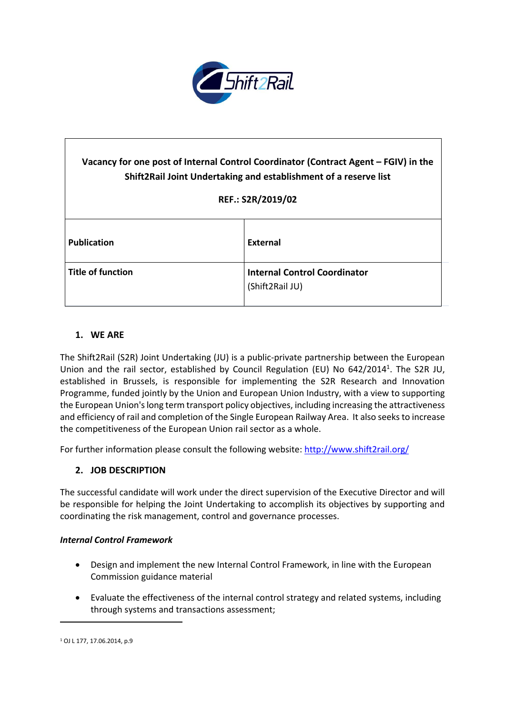

# **Vacancy for one post of Internal Control Coordinator (Contract Agent – FGIV) in the Shift2Rail Joint Undertaking and establishment of a reserve list REF.: S2R/2019/02 Publication External Title of function Internal Control Coordinator** (Shift2Rail JU)

# **1. WE ARE**

The Shift2Rail (S2R) Joint Undertaking (JU) is a public-private partnership between the European Union and the rail sector, established by Council Regulation (EU) No 642/2014<sup>1</sup>. The S2R JU, established in Brussels, is responsible for implementing the S2R Research and Innovation Programme, funded jointly by the Union and European Union Industry, with a view to supporting the European Union'slong term transport policy objectives, including increasing the attractiveness and efficiency of rail and completion of the Single European Railway Area. It also seeksto increase the competitiveness of the European Union rail sector as a whole.

For further information please consult the following website: <http://www.shift2rail.org/>

## **2. JOB DESCRIPTION**

The successful candidate will work under the direct supervision of the Executive Director and will be responsible for helping the Joint Undertaking to accomplish its objectives by supporting and coordinating the risk management, control and governance processes.

#### *Internal Control Framework*

- Design and implement the new Internal Control Framework, in line with the European Commission guidance material
- Evaluate the effectiveness of the internal control strategy and related systems, including through systems and transactions assessment;

 $\ddot{\phantom{a}}$ 

<sup>1</sup> OJ L 177, 17.06.2014, p.9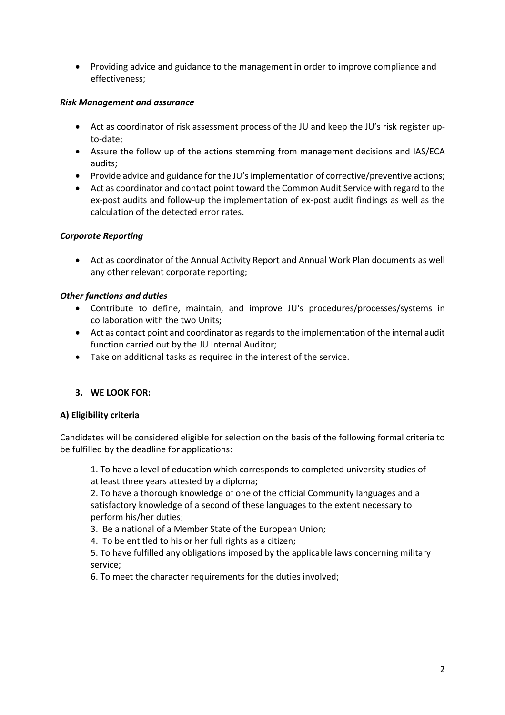Providing advice and guidance to the management in order to improve compliance and effectiveness;

## *Risk Management and assurance*

- Act as coordinator of risk assessment process of the JU and keep the JU's risk register upto-date;
- Assure the follow up of the actions stemming from management decisions and IAS/ECA audits;
- Provide advice and guidance for the JU's implementation of corrective/preventive actions;
- Act as coordinator and contact point toward the Common Audit Service with regard to the ex-post audits and follow-up the implementation of ex-post audit findings as well as the calculation of the detected error rates.

# *Corporate Reporting*

 Act as coordinator of the Annual Activity Report and Annual Work Plan documents as well any other relevant corporate reporting;

# *Other functions and duties*

- Contribute to define, maintain, and improve JU's procedures/processes/systems in collaboration with the two Units;
- Act as contact point and coordinator as regards to the implementation of the internal audit function carried out by the JU Internal Auditor;
- Take on additional tasks as required in the interest of the service.

# **3. WE LOOK FOR:**

## **A) Eligibility criteria**

Candidates will be considered eligible for selection on the basis of the following formal criteria to be fulfilled by the deadline for applications:

1. To have a level of education which corresponds to completed university studies of at least three years attested by a diploma;

2. To have a thorough knowledge of one of the official Community languages and a satisfactory knowledge of a second of these languages to the extent necessary to perform his/her duties;

3. Be a national of a Member State of the European Union;

4. To be entitled to his or her full rights as a citizen;

5. To have fulfilled any obligations imposed by the applicable laws concerning military service;

6. To meet the character requirements for the duties involved;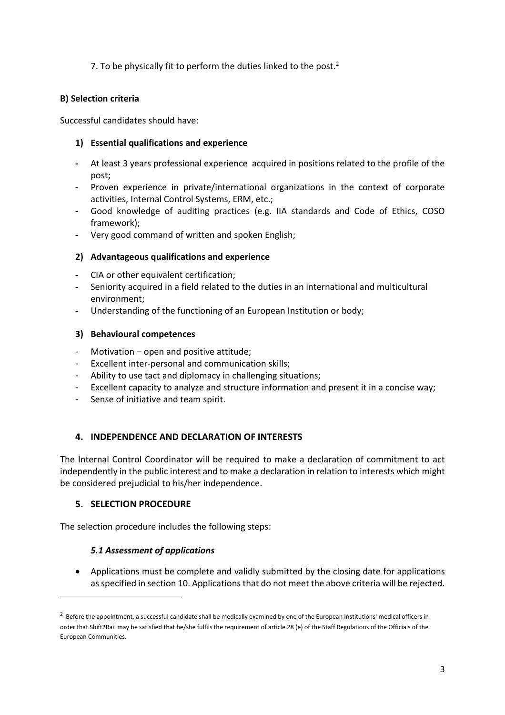# 7. To be physically fit to perform the duties linked to the post. $<sup>2</sup>$ </sup>

## **B) Selection criteria**

Successful candidates should have:

## **1) Essential qualifications and experience**

- **-** At least 3 years professional experience acquired in positions related to the profile of the post;
- **-** Proven experience in private/international organizations in the context of corporate activities, Internal Control Systems, ERM, etc.;
- **-** Good knowledge of auditing practices (e.g. IIA standards and Code of Ethics, COSO framework);
- **-** Very good command of written and spoken English;

# **2) Advantageous qualifications and experience**

- **-** CIA or other equivalent certification;
- **-** Seniority acquired in a field related to the duties in an international and multicultural environment;
- **-** Understanding of the functioning of an European Institution or body;

# **3) Behavioural competences**

- Motivation open and positive attitude;
- Excellent inter-personal and communication skills;
- Ability to use tact and diplomacy in challenging situations;
- Excellent capacity to analyze and structure information and present it in a concise way;
- Sense of initiative and team spirit.

# **4. INDEPENDENCE AND DECLARATION OF INTERESTS**

The Internal Control Coordinator will be required to make a declaration of commitment to act independently in the public interest and to make a declaration in relation to interests which might be considered prejudicial to his/her independence.

## **5. SELECTION PROCEDURE**

 $\ddot{\phantom{a}}$ 

The selection procedure includes the following steps:

# *5.1 Assessment of applications*

 Applications must be complete and validly submitted by the closing date for applications as specified in section 10. Applications that do not meet the above criteria will be rejected.

 $^2$  Before the appointment, a successful candidate shall be medically examined by one of the European Institutions' medical officers in order that Shift2Rail may be satisfied that he/she fulfils the requirement of article 28 (e) of the Staff Regulations of the Officials of the European Communities.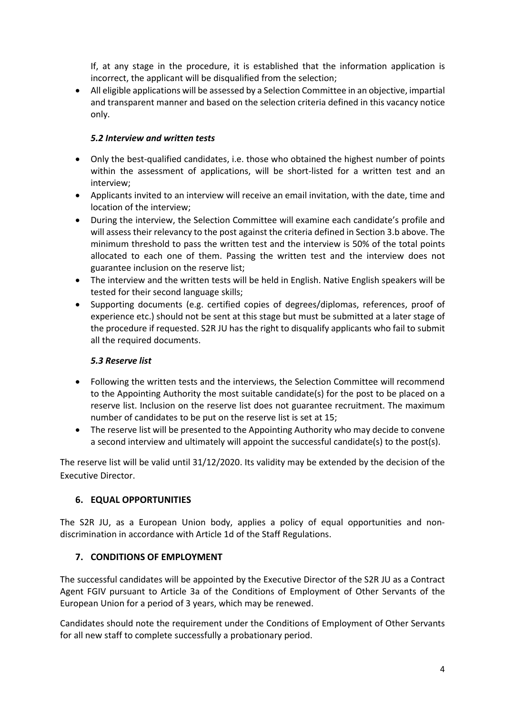If, at any stage in the procedure, it is established that the information application is incorrect, the applicant will be disqualified from the selection;

 All eligible applications will be assessed by a Selection Committee in an objective, impartial and transparent manner and based on the selection criteria defined in this vacancy notice only.

# *5.2 Interview and written tests*

- Only the best-qualified candidates, i.e. those who obtained the highest number of points within the assessment of applications, will be short-listed for a written test and an interview;
- Applicants invited to an interview will receive an email invitation, with the date, time and location of the interview;
- During the interview, the Selection Committee will examine each candidate's profile and will assess their relevancy to the post against the criteria defined in Section 3.b above. The minimum threshold to pass the written test and the interview is 50% of the total points allocated to each one of them. Passing the written test and the interview does not guarantee inclusion on the reserve list;
- The interview and the written tests will be held in English. Native English speakers will be tested for their second language skills;
- Supporting documents (e.g. certified copies of degrees/diplomas, references, proof of experience etc.) should not be sent at this stage but must be submitted at a later stage of the procedure if requested. S2R JU has the right to disqualify applicants who fail to submit all the required documents.

# *5.3 Reserve list*

- Following the written tests and the interviews, the Selection Committee will recommend to the Appointing Authority the most suitable candidate(s) for the post to be placed on a reserve list. Inclusion on the reserve list does not guarantee recruitment. The maximum number of candidates to be put on the reserve list is set at 15;
- The reserve list will be presented to the Appointing Authority who may decide to convene a second interview and ultimately will appoint the successful candidate(s) to the post(s).

The reserve list will be valid until 31/12/2020. Its validity may be extended by the decision of the Executive Director.

# **6. EQUAL OPPORTUNITIES**

The S2R JU, as a European Union body, applies a policy of equal opportunities and nondiscrimination in accordance with Article 1d of the Staff Regulations.

# **7. CONDITIONS OF EMPLOYMENT**

The successful candidates will be appointed by the Executive Director of the S2R JU as a Contract Agent FGIV pursuant to Article 3a of the Conditions of Employment of Other Servants of the European Union for a period of 3 years, which may be renewed.

Candidates should note the requirement under the Conditions of Employment of Other Servants for all new staff to complete successfully a probationary period.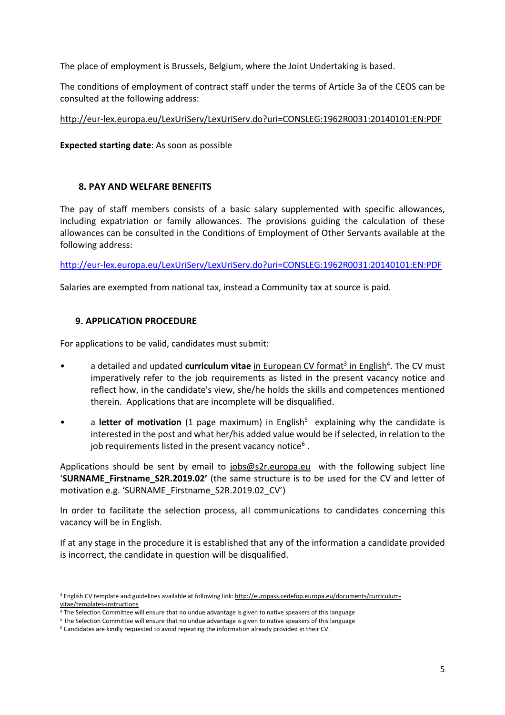The place of employment is Brussels, Belgium, where the Joint Undertaking is based.

The conditions of employment of contract staff under the terms of Article 3a of the CEOS can be consulted at the following address:

## <http://eur-lex.europa.eu/LexUriServ/LexUriServ.do?uri=CONSLEG:1962R0031:20140101:EN:PDF>

## **Expected starting date**: As soon as possible

# **8. PAY AND WELFARE BENEFITS**

The pay of staff members consists of a basic salary supplemented with specific allowances, including expatriation or family allowances. The provisions guiding the calculation of these allowances can be consulted in the Conditions of Employment of Other Servants available at the following address:

<http://eur-lex.europa.eu/LexUriServ/LexUriServ.do?uri=CONSLEG:1962R0031:20140101:EN:PDF>

Salaries are exempted from national tax, instead a Community tax at source is paid.

# **9. APPLICATION PROCEDURE**

 $\overline{a}$ 

For applications to be valid, candidates must submit:

- a detailed and updated **curriculum vitae** in European CV format<sup>3</sup> in English<sup>4</sup>. The CV must imperatively refer to the job requirements as listed in the present vacancy notice and reflect how, in the candidate's view, she/he holds the skills and competences mentioned therein. Applications that are incomplete will be disqualified.
- a letter of motivation (1 page maximum) in English<sup>5</sup> explaining why the candidate is interested in the post and what her/his added value would be if selected, in relation to the job requirements listed in the present vacancy notice $^6$  .

Applications should be sent by email to [jobs@s2r.europa.eu](mailto:jobs@s2r.europa.eu) with the following subject line '**SURNAME\_Firstname\_S2R.2019.02'** (the same structure is to be used for the CV and letter of motivation e.g. 'SURNAME\_Firstname\_S2R.2019.02\_CV')

In order to facilitate the selection process, all communications to candidates concerning this vacancy will be in English.

If at any stage in the procedure it is established that any of the information a candidate provided is incorrect, the candidate in question will be disqualified.

<sup>&</sup>lt;sup>3</sup> English CV template and guidelines available at following link: [http://europass.cedefop.europa.eu/documents/curriculum](http://europass.cedefop.europa.eu/documents/curriculum-vitae/templates-instructions)[vitae/templates-instructions](http://europass.cedefop.europa.eu/documents/curriculum-vitae/templates-instructions)

<sup>4</sup> The Selection Committee will ensure that no undue advantage is given to native speakers of this language

<sup>5</sup> The Selection Committee will ensure that no undue advantage is given to native speakers of this language

<sup>6</sup> Candidates are kindly requested to avoid repeating the information already provided in their CV.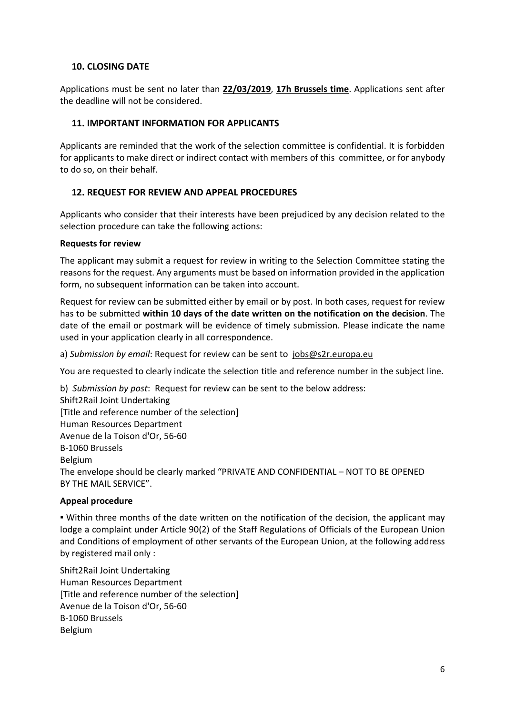## **10. CLOSING DATE**

Applications must be sent no later than **22/03/2019**, **17h Brussels time**. Applications sent after the deadline will not be considered.

### **11. IMPORTANT INFORMATION FOR APPLICANTS**

Applicants are reminded that the work of the selection committee is confidential. It is forbidden for applicants to make direct or indirect contact with members of this committee, or for anybody to do so, on their behalf.

## **12. REQUEST FOR REVIEW AND APPEAL PROCEDURES**

Applicants who consider that their interests have been prejudiced by any decision related to the selection procedure can take the following actions:

#### **Requests for review**

The applicant may submit a request for review in writing to the Selection Committee stating the reasons for the request. Any arguments must be based on information provided in the application form, no subsequent information can be taken into account.

Request for review can be submitted either by email or by post. In both cases, request for review has to be submitted **within 10 days of the date written on the notification on the decision**. The date of the email or postmark will be evidence of timely submission. Please indicate the name used in your application clearly in all correspondence.

a) *Submission by email*: Request for review can be sent to [jobs@s2r.europa.eu](mailto:jobs@s2r.europa.eu)

You are requested to clearly indicate the selection title and reference number in the subject line.

b) *Submission by post*: Request for review can be sent to the below address: Shift2Rail Joint Undertaking [Title and reference number of the selection] Human Resources Department Avenue de la Toison d'Or, 56-60 B-1060 Brussels Belgium The envelope should be clearly marked "PRIVATE AND CONFIDENTIAL – NOT TO BE OPENED BY THE MAIL SERVICE".

## **Appeal procedure**

▪ Within three months of the date written on the notification of the decision, the applicant may lodge a complaint under Article 90(2) of the Staff Regulations of Officials of the European Union and Conditions of employment of other servants of the European Union, at the following address by registered mail only :

Shift2Rail Joint Undertaking Human Resources Department [Title and reference number of the selection] Avenue de la Toison d'Or, 56-60 B-1060 Brussels Belgium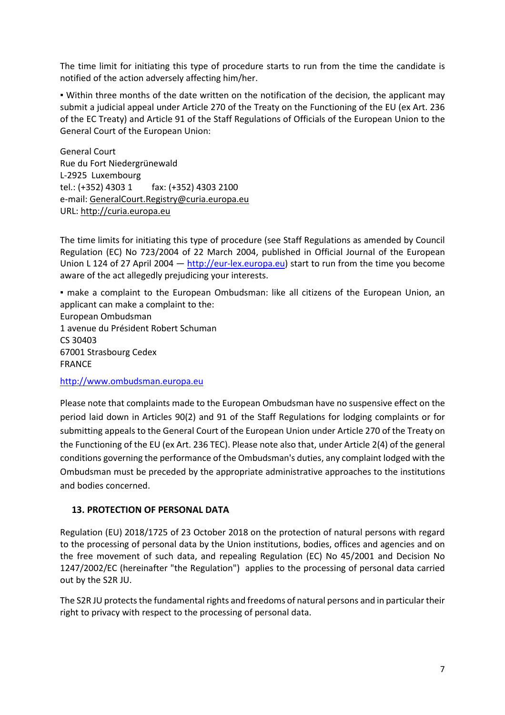The time limit for initiating this type of procedure starts to run from the time the candidate is notified of the action adversely affecting him/her.

▪ Within three months of the date written on the notification of the decision, the applicant may submit a judicial appeal under Article 270 of the Treaty on the Functioning of the EU (ex Art. 236 of the EC Treaty) and Article 91 of the Staff Regulations of Officials of the European Union to the General Court of the European Union:

General Court Rue du Fort Niedergrünewald L-2925 Luxembourg tel.: (+352) 4303 1 fax: (+352) 4303 2100 e-mail: [GeneralCourt.Registry@curia.europa.eu](mailto:GeneralCourt.Registry@curia.europa.eu) URL: [http://curia.europa.eu](http://curia.europa.eu/)

The time limits for initiating this type of procedure (see Staff Regulations as amended by Council Regulation (EC) No 723/2004 of 22 March 2004, published in Official Journal of the European Union L 124 of 27 April 2004  $-$  [http://eur-lex.europa.eu\)](http://eur-lex.europa.eu/) start to run from the time you become aware of the act allegedly prejudicing your interests.

▪ make a complaint to the European Ombudsman: like all citizens of the European Union, an applicant can make a complaint to the:

European Ombudsman 1 avenue du Président Robert Schuman CS 30403 67001 Strasbourg Cedex FRANCE

[http://www.ombudsman.europa.eu](http://www.ombudsman.europa.eu/)

Please note that complaints made to the European Ombudsman have no suspensive effect on the period laid down in Articles 90(2) and 91 of the Staff Regulations for lodging complaints or for submitting appeals to the General Court of the European Union under Article 270 of the Treaty on the Functioning of the EU (ex Art. 236 TEC). Please note also that, under Article 2(4) of the general conditions governing the performance of the Ombudsman's duties, any complaint lodged with the Ombudsman must be preceded by the appropriate administrative approaches to the institutions and bodies concerned.

## **13. PROTECTION OF PERSONAL DATA**

Regulation (EU) 2018/1725 of 23 October 2018 on the protection of natural persons with regard to the processing of personal data by the Union institutions, bodies, offices and agencies and on the free movement of such data, and repealing Regulation (EC) No 45/2001 and Decision No 1247/2002/EC (hereinafter "the Regulation") applies to the processing of personal data carried out by the S2R JU.

The S2R JU protects the fundamental rights and freedoms of natural persons and in particular their right to privacy with respect to the processing of personal data.